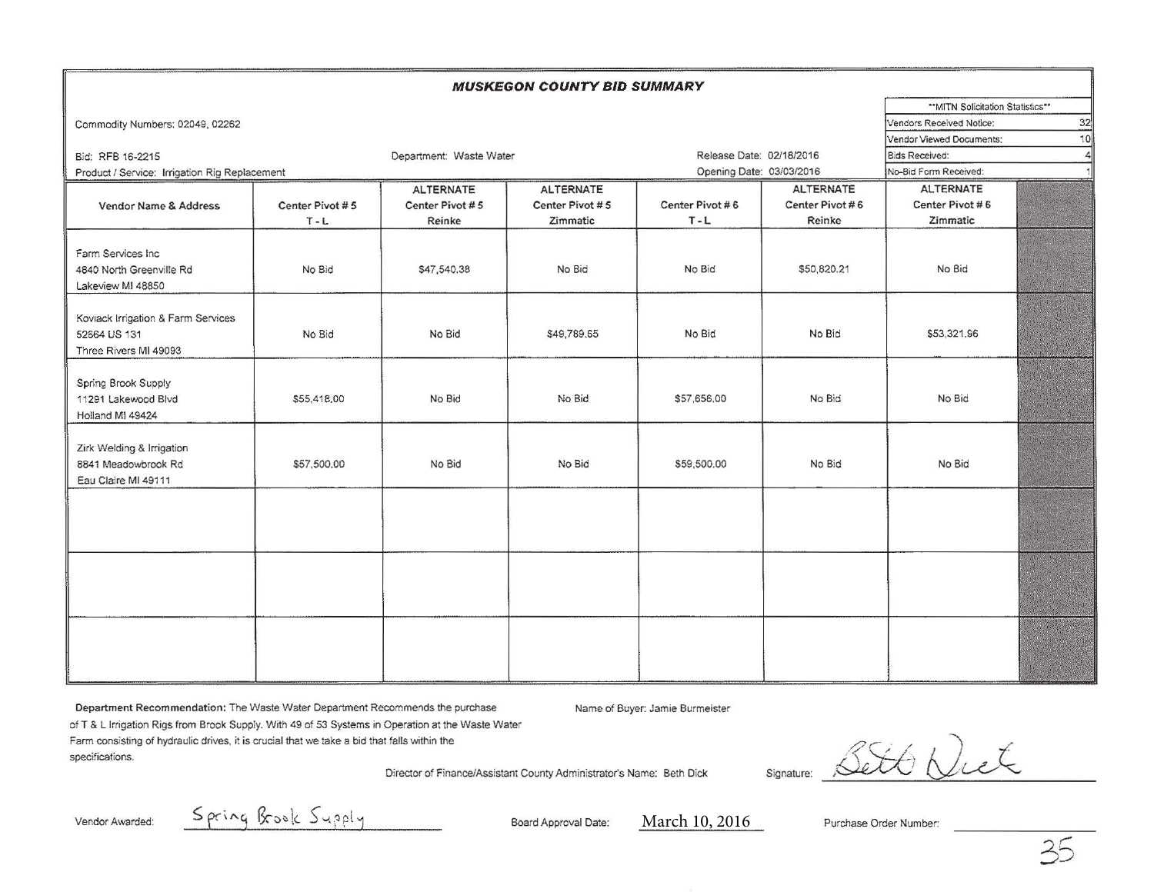| <b>MUSKEGON COUNTY BID SUMMARY</b>                                          |                                |                         |                  |                          |                  |                          |                                 |  |
|-----------------------------------------------------------------------------|--------------------------------|-------------------------|------------------|--------------------------|------------------|--------------------------|---------------------------------|--|
|                                                                             |                                |                         |                  |                          |                  |                          | "MITN Solicitation Statistics"" |  |
| Commodity Numbers: 02049, 02262                                             | 32<br>Vendors Received Notice: |                         |                  |                          |                  |                          |                                 |  |
|                                                                             |                                |                         |                  |                          |                  | Vendor Viewed Documents: |                                 |  |
| Bid: RFB 16-2215                                                            |                                | Department: Waste Water |                  | Release Date: 02/18/2016 |                  | <b>Bids Received:</b>    |                                 |  |
| Product / Service: Irrigation Rig Replacement                               |                                |                         |                  | Opening Date: 03/03/2016 |                  | No-Bid Form Received:    |                                 |  |
|                                                                             | <b>ALTERNATE</b>               |                         | <b>ALTERNATE</b> |                          | <b>ALTERNATE</b> | <b>ALTERNATE</b>         |                                 |  |
| Vendor Name & Address                                                       | Center Pivot #5                | Center Pivot #5         | Center Pivot #5  | Center Pivot #6          | Center Pivot #6  | Center Pivot #6          |                                 |  |
|                                                                             | $T - L$                        | Reinke                  | Zimmatic         | $T - L$                  | Reinke           | Zimmatic                 |                                 |  |
| Farm Services Inc<br>4840 North Greenville Rd<br>Lakeview MI 48850          | No Bid                         | \$47,540.38             | No Bid           | No Bid                   | \$50,820.21      | No Bid                   |                                 |  |
| Koviack Irrigation & Farm Services<br>52664 US 131<br>Three Rivers MI 49093 | No Bid                         | No Bid                  | \$49,789.65      | No Bid                   | No Bid           | \$53,321.96              |                                 |  |
| Spring Brook Supply<br>11291 Lakewood Blvd<br>Holland MI 49424              | \$55,418,00                    | No Bid                  | No Bid           | \$57,656.00              | No Bid           | No Bid                   |                                 |  |
| Zirk Welding & Irrigation<br>8841 Meadowbrook Rd<br>Eau Claire MI 49111     | \$57,500.00                    | No Bid                  | No Bid           | \$59,500.00              | No Bid           | No Bid                   |                                 |  |
|                                                                             |                                |                         |                  |                          |                  |                          |                                 |  |
|                                                                             |                                |                         |                  |                          |                  |                          |                                 |  |
|                                                                             |                                |                         |                  |                          |                  |                          |                                 |  |

Department Recommendation: The Waste Water Department Recommends the purchase Name of Buyer: Jamie Burmeister of T & L Irrigation Rigs from Brook Supply. With 49 of 53 Systems in Operation at the Waste Water Farm consisting of hydraulic drives. it is crucial that we take a bid that falls within the specifications. Director of Finance/Assistant County Administrator's Name: Beth Dick

Signature: Bett Diet

 $V$ endor Awarded:  $S$   $\alpha_{\beta}$   $\beta_{\beta}$   $\beta_{\gamma}$   $\beta_{\gamma}$   $\beta_{\gamma}$ 

March 10, 2016

Purchase Order Number: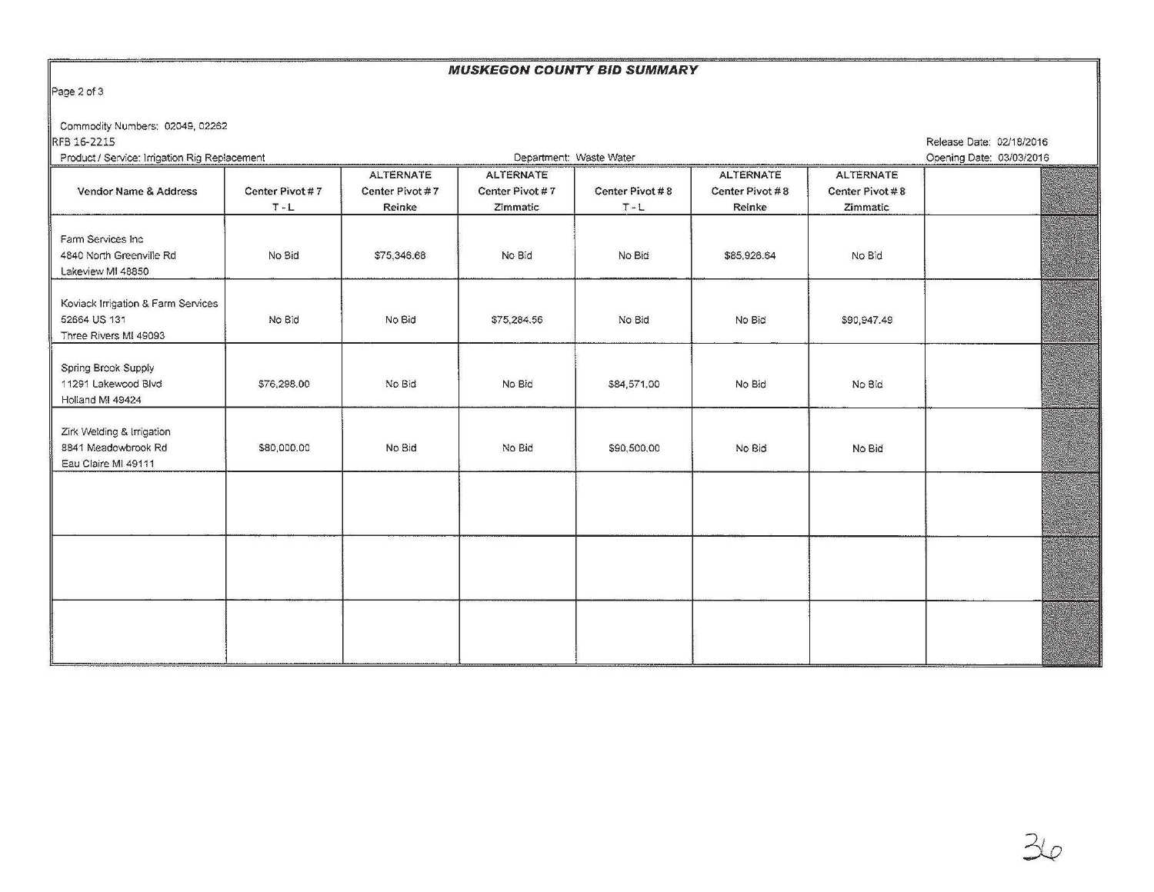## **MUSKEGON COUNTY BID SUMMARY**

Page 2 of 3

Commodity Numbers: 02049, 02262

**RFB 16-2215** Product I Service: Irrigation Rig Replacement Release Date: 02/18/2016

| Product / Service: Irrigation Rig Replacement                               |                            | Department: Waste Water                       |                                                 |                            |                                               |                                                 | Opening Date: 03/03/2016 |  |
|-----------------------------------------------------------------------------|----------------------------|-----------------------------------------------|-------------------------------------------------|----------------------------|-----------------------------------------------|-------------------------------------------------|--------------------------|--|
| Vendor Name & Address                                                       | Center Pivot #7<br>$T - L$ | <b>ALTERNATE</b><br>Center Pivot #7<br>Reinke | <b>ALTERNATE</b><br>Center Pivot #7<br>Zimmatic | Center Pivot #8<br>$T - L$ | <b>ALTERNATE</b><br>Center Pivot #8<br>Reinke | <b>ALTERNATE</b><br>Center Pivot #8<br>Zimmatic |                          |  |
| Farm Services Inc.<br>4840 North Greenville Rd<br>Lakeview MI 48850         | No Bid                     | \$75,346.68                                   | No Bid                                          | No Bid                     | \$85,926.64                                   | No Bid                                          |                          |  |
| Koviack Irrigation & Farm Services<br>52664 US 131<br>Three Rivers MI 49093 | No Bid                     | No Bid                                        | \$75,284.56                                     | No Bid                     | No Bid                                        | \$90,947.49                                     |                          |  |
| Spring Brook Supply<br>11291 Lakewood Blvd<br>Holland MI 49424              | \$76,298.00                | No Bid                                        | No Bid                                          | \$84,571.00                | No Bid                                        | No Bid                                          |                          |  |
| Zirk Welding & Irrigation<br>8841 Meadowbrook Rd<br>Eau Claire MI 49111     | \$80,000.00                | No Bid                                        | No Bid                                          | \$90,500,00                | No Bid                                        | No Bid                                          |                          |  |
|                                                                             |                            |                                               |                                                 |                            |                                               |                                                 |                          |  |
|                                                                             |                            |                                               |                                                 |                            |                                               |                                                 |                          |  |
|                                                                             |                            |                                               |                                                 |                            |                                               |                                                 |                          |  |